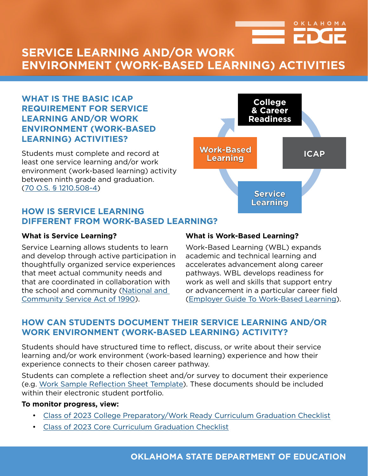

# **SERVICE LEARNING AND/OR WORK ENVIRONMENT (WORK-BASED LEARNING) ACTIVITIES**

## **WHAT IS THE BASIC ICAP REQUIREMENT FOR SERVICE LEARNING AND/OR WORK ENVIRONMENT (WORK-BASED LEARNING) ACTIVITIES?**

Students must complete and record at least one service learning and/or work environment (work-based learning) activity between ninth grade and graduation. [\(70 O.S. § 1210.508-4\)](http://www.okedge.com/wp-content/uploads/2019/02/HB2155-ICAP_0-2.pdf)



### **HOW IS SERVICE LEARNING DIFFERENT FROM WORK-BASED LEARNING?**

### **What is Service Learning?**

Service Learning allows students to learn and develop through active participation in thoughtfully organized service experiences that meet actual community needs and that are coordinated in collaboration with the school and community [\(National and](https://www.nationalservice.gov/sites/default/files/page/Service_Act_09_11_13.pdf)  [Community Service Act of 1990\).](https://www.nationalservice.gov/sites/default/files/page/Service_Act_09_11_13.pdf)

### **What is Work-Based Learning?**

Work-Based Learning (WBL) expands academic and technical learning and accelerates advancement along career pathways. WBL develops readiness for work as well and skills that support entry or advancement in a particular career field [\(Employer Guide To Work-Based Learning\)](https://oklahomaworks.gov/wp-content/uploads/2018/03/WBL-Employer-Guide-Final-3-5-19.pdf).

# **HOW CAN STUDENTS DOCUMENT THEIR SERVICE LEARNING AND/OR WORK ENVIRONMENT (WORK-BASED LEARNING) ACTIVITY?**

Students should have structured time to reflect, discuss, or write about their service learning and/or work environment (work-based learning) experience and how their experience connects to their chosen career pathway.

Students can complete a reflection sheet and/or survey to document their experience (e.g. [Work Sample Reflection Sheet Template](https://www.okedge.com/wp-content/uploads/2019/08/Work-Sample_Reflection-Sheet-template2.pdf)). These documents should be included within their electronic student portfolio.

### **To monitor progress, view:**

- [Class of 2023 College Preparatory/Work Ready Curriculum Graduation Checklist](https://sde.ok.gov/sites/default/files/2023-college-prep-work-ready-curriculum-graduation-requirements %281%29.pdf)
- [Class of 2023 Core Curriculum Graduation Checklist](https://sde.ok.gov/sites/default/files/2023-CORE-curriculum-graduation-requirements FINAL.pdf)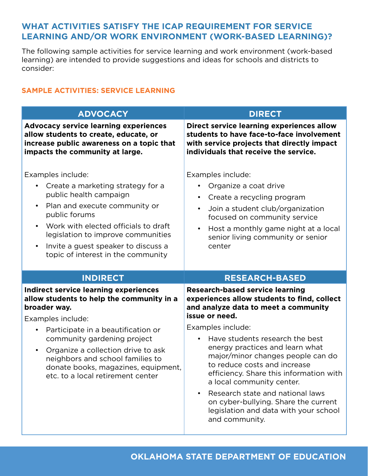# **[WHAT ACTIVITIES SATISFY THE ICAP REQUIREMENT FOR SERVICE](https://sde.ok.gov/sites/default/files/2023-CORE-curriculum-graduation-requirements FINAL.pdf)  [LEARNING AND/OR WORK ENVIRONMENT \(WORK-BASED LEARNING\)?](https://sde.ok.gov/sites/default/files/2023-CORE-curriculum-graduation-requirements FINAL.pdf)**

[The following sample activities for service learning and work environment \(work-based](https://sde.ok.gov/sites/default/files/2023-CORE-curriculum-graduation-requirements FINAL.pdf)  [learning\) are intended to provide suggestions and ideas for schools and districts to](https://sde.ok.gov/sites/default/files/2023-CORE-curriculum-graduation-requirements FINAL.pdf)  [consider:](https://sde.ok.gov/sites/default/files/2023-CORE-curriculum-graduation-requirements FINAL.pdf)

### **SAMPLE ACTIVITIES: SERVICE LEARNING**

| <b>ADVOCACY</b>                                                                                                                                                                                                                                                                                                                                   | <b>DIRECT</b>                                                                                                                                                                                                                                                                           |
|---------------------------------------------------------------------------------------------------------------------------------------------------------------------------------------------------------------------------------------------------------------------------------------------------------------------------------------------------|-----------------------------------------------------------------------------------------------------------------------------------------------------------------------------------------------------------------------------------------------------------------------------------------|
| <b>Advocacy service learning experiences</b><br>allow students to create, educate, or<br>increase public awareness on a topic that<br>impacts the community at large.                                                                                                                                                                             | Direct service learning experiences allow<br>students to have face-to-face involvement<br>with service projects that directly impact<br>individuals that receive the service.                                                                                                           |
| Examples include:<br>Create a marketing strategy for a<br>$\bullet$<br>public health campaign<br>Plan and execute community or<br>$\bullet$<br>public forums<br>Work with elected officials to draft<br>$\bullet$<br>legislation to improve communities<br>Invite a guest speaker to discuss a<br>$\bullet$<br>topic of interest in the community | Examples include:<br>Organize a coat drive<br>$\bullet$<br>Create a recycling program<br>$\bullet$<br>Join a student club/organization<br>$\bullet$<br>focused on community service<br>Host a monthly game night at a local<br>$\bullet$<br>senior living community or senior<br>center |
| <b>INDIRECT</b>                                                                                                                                                                                                                                                                                                                                   | <b>RESEARCH-BASED</b>                                                                                                                                                                                                                                                                   |
| <b>Indirect service learning experiences</b><br>allow students to help the community in a<br>broader way.<br>Examples include:<br>Participate in a beautification or<br>$\bullet$<br>community gardening project<br>Organize a collection drive to ask<br>$\bullet$<br>neighbors and school families to                                           | <b>Research-based service learning</b><br>experiences allow students to find, collect<br>and analyze data to meet a community<br>issue or need.<br>Examples include:<br>Have students research the best<br>energy practices and learn what                                              |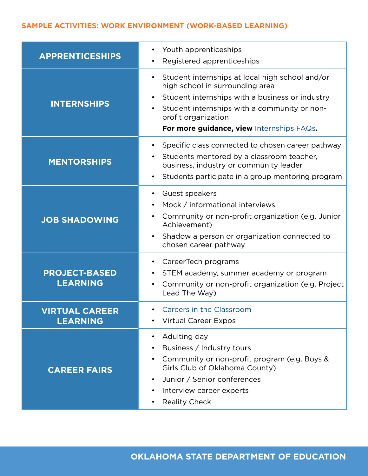### **SAMPLE ACTIVITIES: WORK ENVIRONMENT (WORK-BASED LEARNING)**

| <b>APPRENTICESHIPS</b>                   | Youth apprenticeships<br>Registered apprenticeships                                                                                                                                                                                                       |
|------------------------------------------|-----------------------------------------------------------------------------------------------------------------------------------------------------------------------------------------------------------------------------------------------------------|
| <b>INTERNSHIPS</b>                       | Student internships at local high school and/or<br>high school in surrounding area<br>Student internships with a business or industry<br>Student internships with a community or non-<br>profit organization<br>For more guidance, view Internships FAQs. |
| <b>MENTORSHIPS</b>                       | Specific class connected to chosen career pathway<br>Students mentored by a classroom teacher,<br>business, industry or community leader<br>Students participate in a group mentoring program                                                             |
| <b>JOB SHADOWING</b>                     | Guest speakers<br>Mock / informational interviews<br>$\bullet$<br>Community or non-profit organization (e.g. Junior<br>Achievement)<br>Shadow a person or organization connected to<br>chosen career pathway                                              |
| <b>PROJECT-BASED</b><br><b>LEARNING</b>  | CareerTech programs<br>STEM academy, summer academy or program<br>Community or non-profit organization (e.g. Project<br>Lead The Way)                                                                                                                     |
| <b>VIRTUAL CAREER</b><br><b>LEARNING</b> | • Careers in the Classroom<br><b>Virtual Career Expos</b>                                                                                                                                                                                                 |
| <b>CAREER FAIRS</b>                      | Adulting day<br>Business / Industry tours<br>Community or non-profit program (e.g. Boys &<br>Girls Club of Oklahoma County)<br>Junior / Senior conferences<br>Interview career experts<br><b>Reality Check</b>                                            |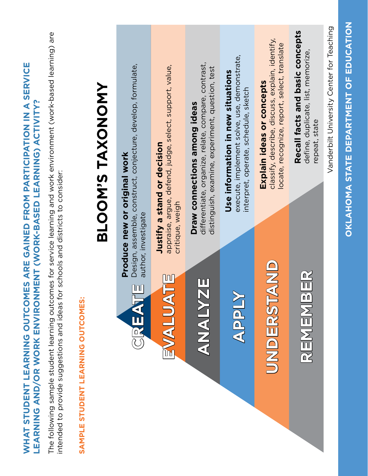| The following sample student learning outcomes for service learning and work environment (work-based learning) are<br>BLOOM'S TAXONOMY<br>schools and districts to consider: | Design, assemble, construct, conjecture, develop, formulate,<br>Produce new or original work<br>author, investigate | appraise, argue, defend, judge, select, support, value,<br>Justify a stand or decision<br>critique, weigh | differentiate, organize, relate, compare, contrast,<br>distinguish, examine, experiment, question, test<br>Draw connections among ideas | execute, implement solve, use, demonstrate,<br>Use information in new situations<br>interpret, operate, schedule, sketch | classify, describe, discuss, explain, identify,<br>locate, recognize, report, select, translate<br>Explain ideas or concepts | Recall facts and basic concepts<br>define, duplicate, list, memorize,<br>repeat, state | Vanderbilt University Center for Teaching |                               |  |  |
|------------------------------------------------------------------------------------------------------------------------------------------------------------------------------|---------------------------------------------------------------------------------------------------------------------|-----------------------------------------------------------------------------------------------------------|-----------------------------------------------------------------------------------------------------------------------------------------|--------------------------------------------------------------------------------------------------------------------------|------------------------------------------------------------------------------------------------------------------------------|----------------------------------------------------------------------------------------|-------------------------------------------|-------------------------------|--|--|
| <b>LEARNING AND/OR WORK ENVIRONMENT (WORK-BASED LEARNING) ACTIVITY?</b><br>intended to provide suggestions and ideas for                                                     | SAMPLE STUDENT LEARNING OUTCOMES:                                                                                   |                                                                                                           | CREATE                                                                                                                                  | տ<br>Ծ<br>EVALUAT                                                                                                        | ℼ<br><b>ANALYZ</b>                                                                                                           | <b>APPLY</b>                                                                           | UNDERSTAND                                | $\widetilde{\Xi}$<br>REMEMENB |  |  |

**WHAT STUDENT LEARNING OUTCOMES ARE GAINED FROM PARTICIPATION IN A SERVICE** 

WHAT STUDENT LEARNING OUTCOMES ARE GAINED FROM PARTICIPATION IN A SERVICE

# **OKLAHOMA STATE DEPARTMENT OF EDUCATION**